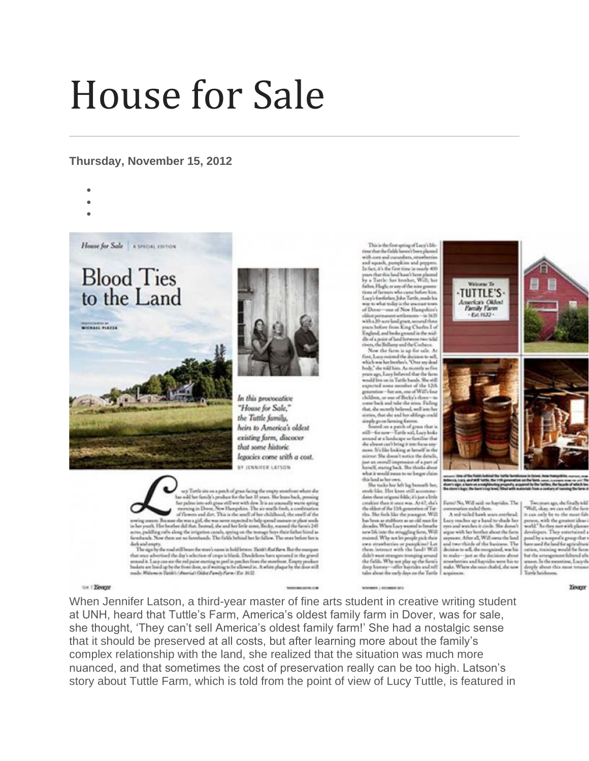## House for Sale

## **Thursday, November 15, 2012**

- •
- •

**MICHAEL PLAYER** 

House for Sale A SPECIAL EDITION

**Blood Ties** 

to the Land



In this provocative "House for Sale," the Tuttle family. heirs to America's oldest existing farm, discover that some historic legacies come with a cost. BY JENNIFER LATSON

 $\begin{minipage}{0.9\textwidth} \begin{minipage}{0.9\textwidth} \begin{itemize} \textbf{1} & \textbf{1} & \textbf{1} & \textbf{1} & \textbf{1} & \textbf{1} & \textbf{1} & \textbf{1} & \textbf{1} & \textbf{1} & \textbf{1} & \textbf{1} & \textbf{1} & \textbf{1} & \textbf{1} & \textbf{1} & \textbf{1} & \textbf{1} & \textbf{1} & \textbf{1} & \textbf{1} & \textbf{1} & \textbf{1} & \textbf{1} & \textbf{1} & \textbf{1} & \textbf{$ scree, puddling rufts along the irrigation canada, apring on the termspr ferre their father himd as<br>formbands. Now there are no farmhands. The fields behind her lie fallow. The most before her is

diels and empty.<br>The sign by the smal still bears the store's name in bold letters: Their's Ratiflarm Battler many The superior contract that they in the contract of the state of the state of the state of the state of the state of the state of the state of the state of the state of the state of the state of the state of the state of th rade: Welcows Testir's America's Odder Family Form / Est. 21.32.

This is the first spring of Lucy's Life<br>or that the fields haven't been plasmed with men and currentum, strawberries and upanh, pumpkins and peppers.<br>In fact, it's the first time in mostly 400 years that this land haut boos plasmed<br>by a Turtle: has boother, Will; her fielser, Hugh, er uny of the nine genere<br>tions of farmers who came before him.<br>Locy's fortfielser, John Tartle, made his way to what today is the sewment to<br>of Dover – one of New Hampshi different management secretarisments - the 56.55 which permuss<br>one terminosis -- in 58.00 with a DV source land gravitations of the<br>space of the  $\mathbb{R}^2$  space in the law proof in the mid-disk<br>permutation of the mid-disk gravitation of the space of the<br>disk permutatio

wears was. Lowe Sellowed that the farm would live on in Tattle hands. She still<br>expected some manifest of the 12th<br>generation—her son, one of Will's lost children, or one of Bocky's three<br>come back and take the mins. Failing<br>that, die secretly believed, well into be nsse<br>1. Falling sistes, that she and her siblings could

wearen, that not not have the military<br>ground on a patch of grass that is  $a(2)$ —for now—Tortle will, kiney limits<br>are standing as formulas the standard and a standard details<br>and the showed cash being it into focus stays mirror: She doesn't notice the details,<br>just an overall impression of a part of<br>herself, stating back. She thinks about what it would mean to us longer claim this land as beyone.<br>  $\label{eq:3.1} \mbox{The total arc left leg bounds has,}$ 

stock-like. Her knee still accommodates these origins folds; it's just a little<br>creative than it once was. At 67, dish<br>the dilect of the 15th generation of Tatthe. She field like the youngest. Will<br>has been as stablests as an old man for<br>decades. When Locy wanted to benefit: new life into the struggling furm, Will<br>mained. Why we let people pick their swa strawberries or punpkins? Let<br>them intenset with the fand? Will this boast strongers trouping around<br>the fields. Why not play up the fiern's<br>dayp history--offer buyindes and tell tales about the early days on the Turtle

**MONTANA LINE MARKET SALE** 



**Building property and**<br>Small Silled with an

Farrel No, Will said no hayrides. The conversation ended them. A red tailed hash was overhead.

Lory miches up a hand to shade her.<br>ows and winders it circle. She doesn't nooth" So they sure with planest models of the<br>element  $\mathcal{D}$  and the proof of proof the land of the<br>set under the land for a proof there are under the land for a<br>position, the integration of the accompanient follows fo system is the boother about the facts speed of the second state in the sequence. After all, Wall owns the hard and two trainers which of the fractions to sell, the comparison, was his to send on the second state in the se sopi

to a 120mgyr

When Jennifer Latson, a third-year master of fine arts student in creative writing student at UNH, heard that Tuttle's Farm, America's oldest family farm in Dover, was for sale, she thought, 'They can't sell America's oldest family farm!' She had a nostalgic sense that it should be preserved at all costs, but after learning more about the family's complex relationship with the land, she realized that the situation was much more nuanced, and that sometimes the cost of preservation really can be too high. Latson's story about Tuttle Farm, which is told from the point of view of Lucy Tuttle, is featured in

**Yester** 

Two years ago, do finally will Two years ago, she finally told<br>"Well, skey, we can sell the face<br>it can only be to the most fab<br>person, with the greatest ideas<br>well." So they not with planne